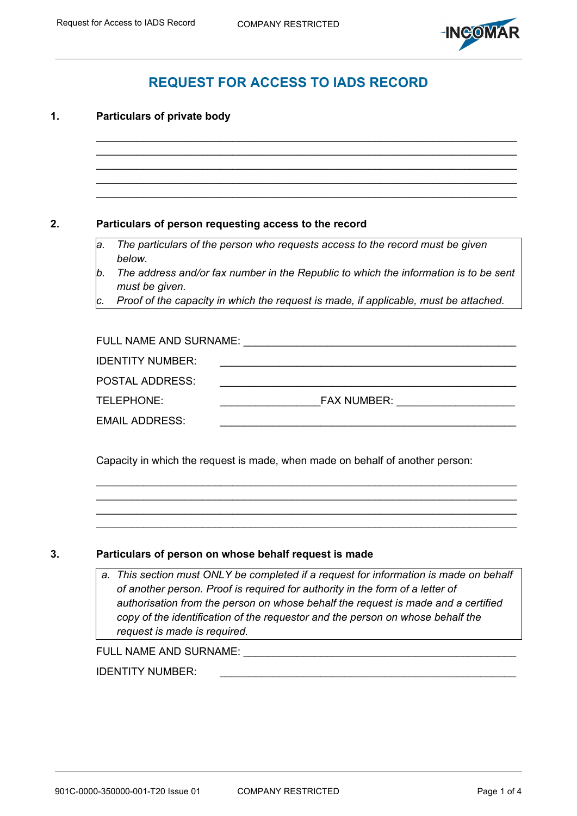

# **REQUEST FOR ACCESS TO IADS RECORD**

 $\_$  $\_$  $\_$ 

 $\_$ 

## **1. Particulars of private body**

## **2. Particulars of person requesting access to the record**

*a. The particulars of the person who requests access to the record must be given below.* 

- *b. The address and/or fax number in the Republic to which the information is to be sent must be given.*
- *c. Proof of the capacity in which the request is made, if applicable, must be attached.*

| FULL NAME AND SURNAME:  |                    |  |  |  |  |
|-------------------------|--------------------|--|--|--|--|
| <b>IDENTITY NUMBER:</b> |                    |  |  |  |  |
| <b>POSTAL ADDRESS:</b>  |                    |  |  |  |  |
| TELEPHONE:              | <b>FAX NUMBER:</b> |  |  |  |  |
| <b>EMAIL ADDRESS:</b>   |                    |  |  |  |  |

 $\_$  $\_$  $\_$ 

Capacity in which the request is made, when made on behalf of another person:

#### **3. Particulars of person on whose behalf request is made**

*a. This section must ONLY be completed if a request for information is made on behalf of another person. Proof is required for authority in the form of a letter of authorisation from the person on whose behalf the request is made and a certified copy of the identification of the requestor and the person on whose behalf the request is made is required.* 

FULL NAME AND SURNAME: \_\_\_\_\_\_\_\_\_\_\_\_\_\_\_\_\_\_\_\_\_\_\_\_\_\_\_\_\_\_\_\_\_\_\_\_\_\_\_\_\_\_\_\_\_\_

#### IDENTITY NUMBER: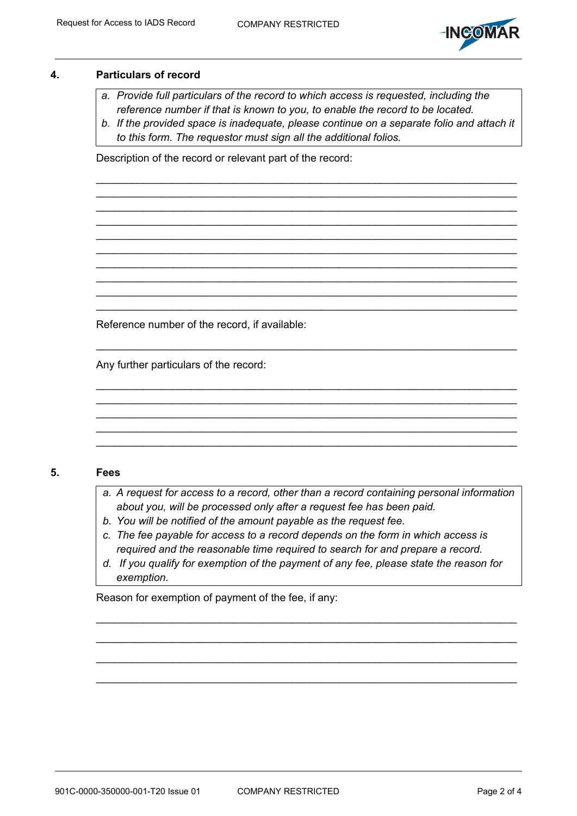

### **4. Particulars of record**

- *a. Provide full particulars of the record to which access is requested, including the reference number if that is known to you, to enable the record to be located.*
- *b. If the provided space is inadequate, please continue on a separate folio and attach it to this form. The requestor must sign all the additional folios.*

 $\_$  $\_$  $\_$  $\_$ 

 $\_$ 

 $\_$  $\_$  , and the set of the set of the set of the set of the set of the set of the set of the set of the set of the set of the set of the set of the set of the set of the set of the set of the set of the set of the set of th

 $\_$ 

 $\_$  $\_$ \_\_\_\_\_\_\_\_\_\_\_\_\_\_\_\_\_\_\_\_\_\_\_\_\_\_\_\_\_\_\_\_\_\_\_\_\_\_\_\_\_\_\_\_\_\_\_\_\_\_\_\_\_\_\_\_\_\_\_\_\_\_\_\_\_\_\_\_\_\_\_

Description of the record or relevant part of the record:

Reference number of the record, if available:

Any further particulars of the record:

#### **5. Fees**

- *a. A request for access to a record, other than a record containing personal information about you, will be processed only after a request fee has been paid.*
- *b. You will be notified of the amount payable as the request fee.*
- *c. The fee payable for access to a record depends on the form in which access is required and the reasonable time required to search for and prepare a record.*
- *d. If you qualify for exemption of the payment of any fee, please state the reason for exemption.*

\_\_\_\_\_\_\_\_\_\_\_\_\_\_\_\_\_\_\_\_\_\_\_\_\_\_\_\_\_\_\_\_\_\_\_\_\_\_\_\_\_\_\_\_\_\_\_\_\_\_\_\_\_\_\_\_\_\_\_\_\_\_\_\_\_\_\_\_\_\_\_

\_\_\_\_\_\_\_\_\_\_\_\_\_\_\_\_\_\_\_\_\_\_\_\_\_\_\_\_\_\_\_\_\_\_\_\_\_\_\_\_\_\_\_\_\_\_\_\_\_\_\_\_\_\_\_\_\_\_\_\_\_\_\_\_\_\_\_\_\_\_\_

\_\_\_\_\_\_\_\_\_\_\_\_\_\_\_\_\_\_\_\_\_\_\_\_\_\_\_\_\_\_\_\_\_\_\_\_\_\_\_\_\_\_\_\_\_\_\_\_\_\_\_\_\_\_\_\_\_\_\_\_\_\_\_\_\_\_\_\_\_\_\_

Reason for exemption of payment of the fee, if any: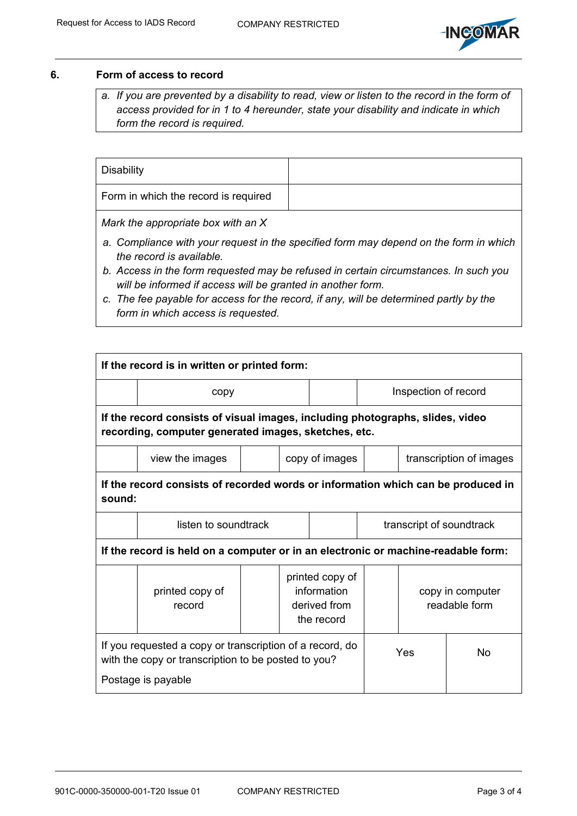

## **6. Form of access to record**

*a. If you are prevented by a disability to read, view or listen to the record in the form of access provided for in 1 to 4 hereunder, state your disability and indicate in which form the record is required.* 

| Disability                           |  |
|--------------------------------------|--|
| Form in which the record is required |  |

*Mark the appropriate box with an X* 

- *a. Compliance with your request in the specified form may depend on the form in which the record is available.*
- *b. Access in the form requested may be refused in certain circumstances. In such you will be informed if access will be granted in another form.*
- *c. The fee payable for access for the record, if any, will be determined partly by the form in which access is requested.*

| If the record is in written or printed form:                                                                                          |                           |  |                                                              |                |                          |                                   |    |  |  |  |
|---------------------------------------------------------------------------------------------------------------------------------------|---------------------------|--|--------------------------------------------------------------|----------------|--------------------------|-----------------------------------|----|--|--|--|
|                                                                                                                                       | copy                      |  |                                                              |                | Inspection of record     |                                   |    |  |  |  |
| If the record consists of visual images, including photographs, slides, video<br>recording, computer generated images, sketches, etc. |                           |  |                                                              |                |                          |                                   |    |  |  |  |
|                                                                                                                                       | view the images           |  |                                                              | copy of images |                          | transcription of images           |    |  |  |  |
| If the record consists of recorded words or information which can be produced in<br>sound:                                            |                           |  |                                                              |                |                          |                                   |    |  |  |  |
|                                                                                                                                       | listen to soundtrack      |  |                                                              |                | transcript of soundtrack |                                   |    |  |  |  |
| If the record is held on a computer or in an electronic or machine-readable form:                                                     |                           |  |                                                              |                |                          |                                   |    |  |  |  |
|                                                                                                                                       | printed copy of<br>record |  | printed copy of<br>information<br>derived from<br>the record |                |                          | copy in computer<br>readable form |    |  |  |  |
| If you requested a copy or transcription of a record, do<br>with the copy or transcription to be posted to you?<br>Postage is payable |                           |  |                                                              |                |                          | Yes                               | No |  |  |  |